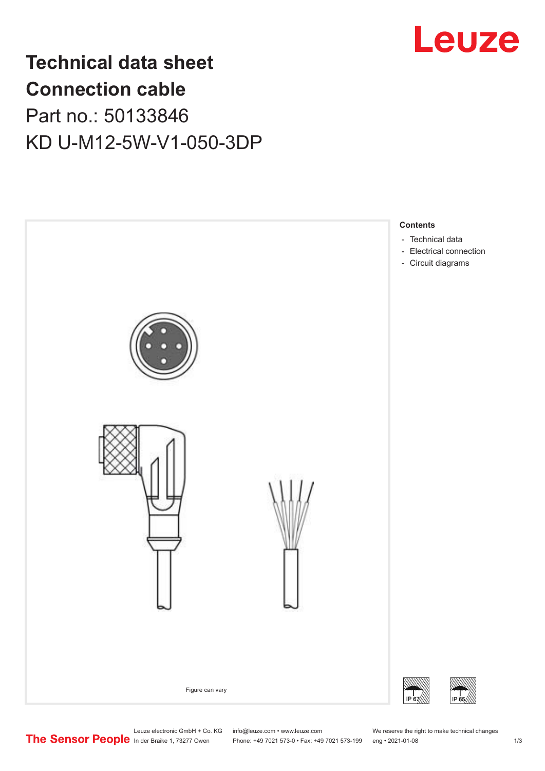

# **Technical data sheet Connection cable** Part no.: 50133846 KD U-M12-5W-V1-050-3DP



Leuze electronic GmbH + Co. KG info@leuze.com • www.leuze.com We reserve the right to make technical changes<br>
The Sensor People in der Braike 1, 73277 Owen Phone: +49 7021 573-0 • Fax: +49 7021 573-199 eng • 2021-01-08

Phone: +49 7021 573-0 • Fax: +49 7021 573-199 eng • 2021-01-08 1 2021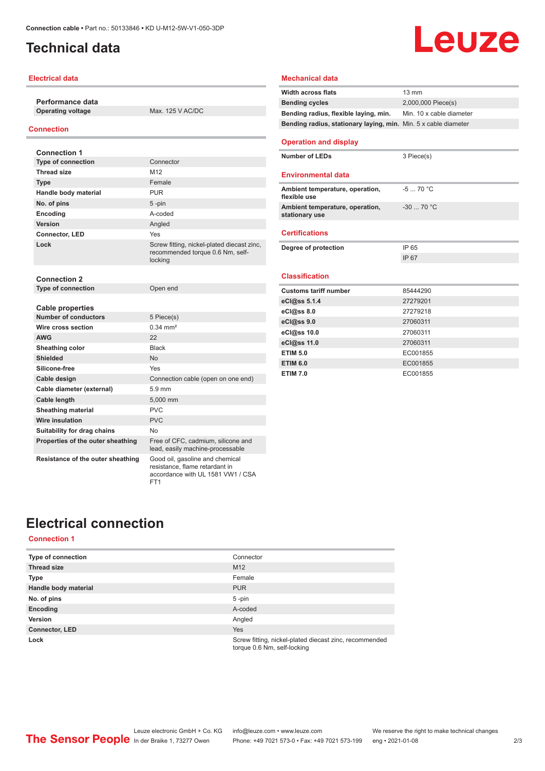# <span id="page-1-0"></span>**Technical data**

## **Electrical data**

**Performance data Operating voltage** Max. 125 V AC/DC

## **Connection**

| <b>Connection 1</b>                                    |                                                                                                        |
|--------------------------------------------------------|--------------------------------------------------------------------------------------------------------|
| <b>Type of connection</b>                              | Connector                                                                                              |
| <b>Thread size</b>                                     | M <sub>12</sub>                                                                                        |
| <b>Type</b>                                            | Female                                                                                                 |
| Handle body material                                   | <b>PUR</b>                                                                                             |
| No. of pins                                            | $5 - pin$                                                                                              |
| Encoding                                               | A-coded                                                                                                |
| Version                                                | Angled                                                                                                 |
| Connector, LED                                         | Yes                                                                                                    |
| Lock                                                   | Screw fitting, nickel-plated diecast zinc,<br>recommended torque 0.6 Nm, self-<br>locking              |
| <b>Connection 2</b>                                    |                                                                                                        |
| Type of connection                                     | Open end                                                                                               |
| <b>Cable properties</b><br><b>Number of conductors</b> | 5 Piece(s)                                                                                             |
| Wire cross section                                     | $0.34 \, \text{mm}^2$                                                                                  |
| <b>AWG</b>                                             | 22                                                                                                     |
| Sheathing color                                        | <b>Black</b>                                                                                           |
| <b>Shielded</b>                                        | <b>No</b>                                                                                              |
| Silicone-free                                          | Yes                                                                                                    |
| Cable design                                           | Connection cable (open on one end)                                                                     |
| Cable diameter (external)                              | $5.9 \text{ mm}$                                                                                       |
| Cable length                                           | 5.000 mm                                                                                               |
| <b>Sheathing material</b>                              | PVC                                                                                                    |
| <b>Wire insulation</b>                                 | <b>PVC</b>                                                                                             |
| Suitability for drag chains                            | No                                                                                                     |
| Properties of the outer sheathing                      | Free of CFC, cadmium, silicone and<br>lead, easily machine-processable                                 |
| Resistance of the outer sheathing                      | Good oil, gasoline and chemical<br>resistance, flame retardant in<br>accordance with UL 1581 VW1 / CSA |

ET<sub>1</sub>

| <b>Width across flats</b>                                       | $13 \text{ mm}$          |
|-----------------------------------------------------------------|--------------------------|
| <b>Bending cycles</b>                                           | 2,000,000 Piece(s)       |
| Bending radius, flexible laying, min.                           | Min. 10 x cable diameter |
| Bending radius, stationary laying, min. Min. 5 x cable diameter |                          |
| <b>Operation and display</b>                                    |                          |
| Number of LEDs                                                  | 3 Piece(s)               |
| <b>Environmental data</b>                                       |                          |
| Ambient temperature, operation,<br>flexible use                 | $-570 °C$                |
| Ambient temperature, operation,<br>stationary use               | $-30$ 70 °C              |
| <b>Certifications</b>                                           |                          |
| Degree of protection                                            | IP 65                    |
|                                                                 | IP 67                    |
| <b>Classification</b>                                           |                          |
| <b>Customs tariff number</b>                                    | 85444290                 |
| eCl@ss 5.1.4                                                    | 27279201                 |
| eCl@ss 8.0                                                      | 27279218                 |
| eCl@ss 9.0                                                      | 27060311                 |
| eCl@ss 10.0                                                     | 27060311                 |
| eCl@ss 11.0                                                     |                          |
|                                                                 | 27060311                 |

Leuze

**ETIM 6.0** EC001855 **ETIM 7.0** EC001855

**Mechanical data**

# **Electrical connection**

## **Connection 1**

| <b>Type of connection</b> | Connector                                                                             |
|---------------------------|---------------------------------------------------------------------------------------|
| <b>Thread size</b>        | M <sub>12</sub>                                                                       |
| <b>Type</b>               | Female                                                                                |
| Handle body material      | <b>PUR</b>                                                                            |
| No. of pins               | $5 - pin$                                                                             |
| Encoding                  | A-coded                                                                               |
| Version                   | Angled                                                                                |
| <b>Connector, LED</b>     | <b>Yes</b>                                                                            |
| Lock                      | Screw fitting, nickel-plated diecast zinc, recommended<br>torque 0.6 Nm, self-locking |